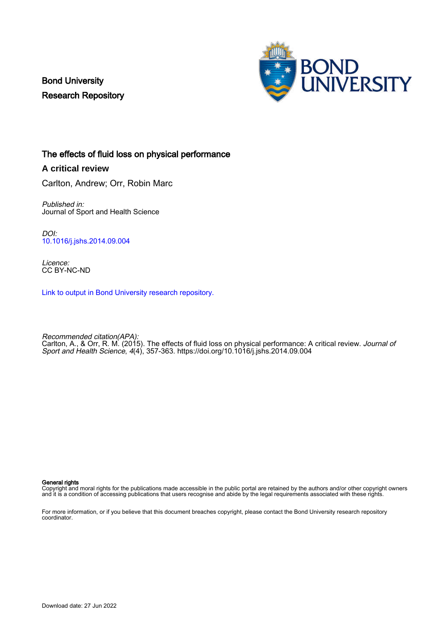Bond University Research Repository



# The effects of fluid loss on physical performance

**A critical review**

Carlton, Andrew; Orr, Robin Marc

Published in: Journal of Sport and Health Science

DOI: [10.1016/j.jshs.2014.09.004](https://doi.org/10.1016/j.jshs.2014.09.004)

Licence: CC BY-NC-ND

[Link to output in Bond University research repository.](https://research.bond.edu.au/en/publications/249c7b82-6716-4403-85c1-99f7389bbaf6)

Recommended citation(APA): Carlton, A., & Orr, R. M. (2015). The effects of fluid loss on physical performance: A critical review. Journal of Sport and Health Science, 4(4), 357-363.<https://doi.org/10.1016/j.jshs.2014.09.004>

General rights

Copyright and moral rights for the publications made accessible in the public portal are retained by the authors and/or other copyright owners and it is a condition of accessing publications that users recognise and abide by the legal requirements associated with these rights.

For more information, or if you believe that this document breaches copyright, please contact the Bond University research repository coordinator.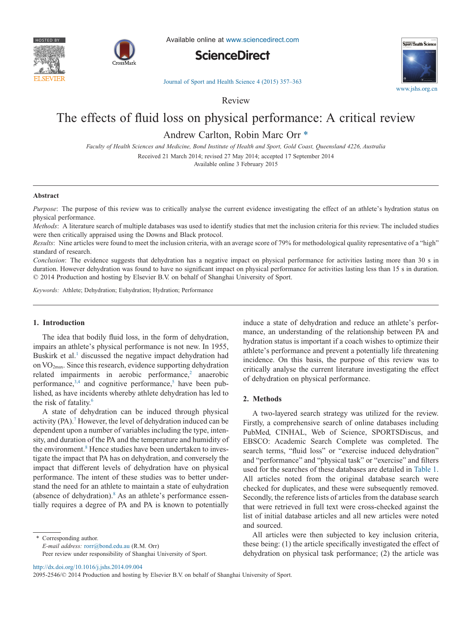



Available online at [www.sciencedirect.com](http://www.sciencedirect.com/science/journal/20952546)





[Journal of Sport and Health Science 4 \(2015\) 357–363](http://dx.doi.org/10.1016/j.jshs.2014.09.004)

Review

# The effects of fluid loss on physical performance: A critical review

Andrew Carlton, Robin Marc Orr [\\*](#page-1-0)

*Faculty of Health Sciences and Medicine, Bond Institute of Health and Sport, Gold Coast, Queensland 4226, Australia*

Received 21 March 2014; revised 27 May 2014; accepted 17 September 2014

Available online 3 February 2015

#### **Abstract**

*Purpose*: The purpose of this review was to critically analyse the current evidence investigating the effect of an athlete's hydration status on physical performance.

*Methods*: A literature search of multiple databases was used to identify studies that met the inclusion criteria for this review. The included studies were then critically appraised using the Downs and Black protocol.

*Results*: Nine articles were found to meet the inclusion criteria, with an average score of 79% for methodological quality representative of a "high" standard of research.

*Conclusion*: The evidence suggests that dehydration has a negative impact on physical performance for activities lasting more than 30 s in duration. However dehydration was found to have no significant impact on physical performance for activities lasting less than 15 s in duration. © 2014 Production and hosting by Elsevier B.V. on behalf of Shanghai University of Sport.

*Keywords:* Athlete; Dehydration; Euhydration; Hydration; Performance

# **1. Introduction**

The idea that bodily fluid loss, in the form of dehydration, impairs an athlete's physical performance is not new. In 1955, Buskirk et al.<sup>1</sup> discussed the negative impact dehydration had on VO2max. Since this research, evidence supporting dehydration related impairments in aerobic performance, $2$  anaerobic performance, $3,4$  and cognitive performance,<sup>5</sup> have been published, as have incidents whereby athlete dehydration has led to the risk of fatality.<sup>6</sup>

A state of dehydration can be induced through physical activity (PA).<sup>7</sup> However, the level of dehydration induced can be dependent upon a number of variables including the type, intensity, and duration of the PA and the temperature and humidity of the environment.<sup>8</sup> Hence studies have been undertaken to investigate the impact that PA has on dehydration, and conversely the impact that different levels of dehydration have on physical performance. The intent of these studies was to better understand the need for an athlete to maintain a state of euhydration (absence of dehydration). $8$  As an athlete's performance essentially requires a degree of PA and PA is known to potentially

<span id="page-1-0"></span>Corresponding author.

*E-mail address:* [rorr@bond.edu.au](mailto:rorr@bond.edu.au) (R.M. Orr)

Peer review under responsibility of Shanghai University of Sport.

induce a state of dehydration and reduce an athlete's performance, an understanding of the relationship between PA and hydration status is important if a coach wishes to optimize their athlete's performance and prevent a potentially life threatening incidence. On this basis, the purpose of this review was to critically analyse the current literature investigating the effect of dehydration on physical performance.

## **2. Methods**

A two-layered search strategy was utilized for the review. Firstly, a comprehensive search of online databases including PubMed, CINHAL, Web of Science, SPORTSDiscus, and EBSCO: Academic Search Complete was completed. The search terms, "fluid loss" or "exercise induced dehydration" and "performance" and "physical task" or "exercise" and filters used for the searches of these databases are detailed in [Table 1.](#page-2-0) All articles noted from the original database search were checked for duplicates, and these were subsequently removed. Secondly, the reference lists of articles from the database search that were retrieved in full text were cross-checked against the list of initial database articles and all new articles were noted and sourced.

All articles were then subjected to key inclusion criteria, these being: (1) the article specifically investigated the effect of dehydration on physical task performance; (2) the article was

http://dx.doi.org/10.1016/j.jshs.2014.09.004

2095-2546/© 2014 Production and hosting by Elsevier B.V. on behalf of Shanghai University of Sport.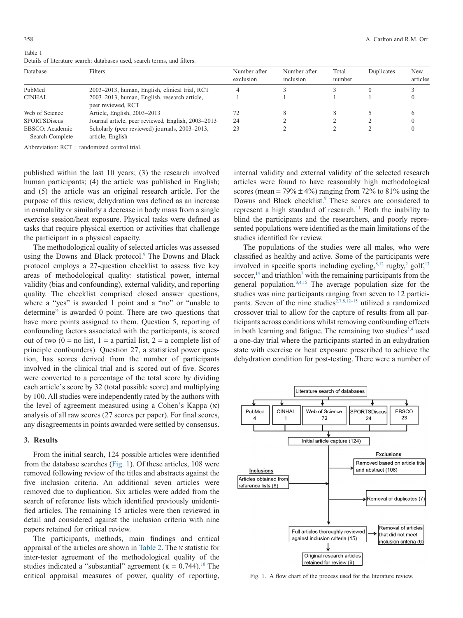| Database                           | <b>Filters</b>                                                     | Number after<br>exclusion | Number after<br>inclusion | Total<br>number | Duplicates | New<br>articles |
|------------------------------------|--------------------------------------------------------------------|---------------------------|---------------------------|-----------------|------------|-----------------|
| PubMed                             | 2003–2013, human, English, clinical trial, RCT                     |                           |                           |                 |            |                 |
| <b>CINHAL</b>                      | 2003–2013, human, English, research article,<br>peer reviewed, RCT |                           |                           |                 |            |                 |
| Web of Science                     | Article, English, 2003-2013                                        |                           | 8                         |                 |            |                 |
| <b>SPORTSDiscus</b>                | Journal article, peer reviewed, English, 2003–2013                 | 24                        |                           |                 |            |                 |
| EBSCO: Academic<br>Search Complete | Scholarly (peer reviewed) journals, 2003–2013,<br>article, English | 23                        |                           |                 |            |                 |

<span id="page-2-0"></span>Table 1 Details of literature search: databases used, search terms, and filters.

Abbreviation:  $RCT =$  randomized control trial.

published within the last 10 years; (3) the research involved human participants; (4) the article was published in English; and (5) the article was an original research article. For the purpose of this review, dehydration was defined as an increase in osmolality or similarly a decrease in body mass from a single exercise session/heat exposure. Physical tasks were defined as tasks that require physical exertion or activities that challenge the participant in a physical capacity.

The methodological quality of selected articles was assessed using the Downs and Black protocol.<sup>9</sup> The Downs and Black protocol employs a 27-question checklist to assess five key areas of methodological quality: statistical power, internal validity (bias and confounding), external validity, and reporting quality. The checklist comprised closed answer questions, where a "yes" is awarded 1 point and a "no" or "unable to determine" is awarded 0 point. There are two questions that have more points assigned to them. Question 5, reporting of confounding factors associated with the participants, is scored out of two  $(0 = no$  list,  $1 = a$  partial list,  $2 = a$  complete list of principle confounders). Question 27, a statistical power question, has scores derived from the number of participants involved in the clinical trial and is scored out of five. Scores were converted to a percentage of the total score by dividing each article's score by 32 (total possible score) and multiplying by 100. All studies were independently rated by the authors with the level of agreement measured using a Cohen's Kappa (κ) analysis of all raw scores (27 scores per paper). For final scores, any disagreements in points awarded were settled by consensus.

#### **3. Results**

From the initial search, 124 possible articles were identified from the database searches (Fig. 1). Of these articles, 108 were removed following review of the titles and abstracts against the five inclusion criteria. An additional seven articles were removed due to duplication. Six articles were added from the search of reference lists which identified previously unidentified articles. The remaining 15 articles were then reviewed in detail and considered against the inclusion criteria with nine papers retained for critical review.

The participants, methods, main findings and critical appraisal of the articles are shown in [Table 2.](#page-4-0) The κ statistic for inter-tester agreement of the methodological quality of the studies indicated a "substantial" agreement ( $\kappa = 0.744$ ).<sup>10</sup> The critical appraisal measures of power, quality of reporting,

internal validity and external validity of the selected research articles were found to have reasonably high methodological scores (mean =  $79\% \pm 4\%$ ) ranging from 72% to 81% using the Downs and Black checklist.<sup>9</sup> These scores are considered to represent a high standard of research.<sup>11</sup> Both the inability to blind the participants and the researchers, and poorly represented populations were identified as the main limitations of the studies identified for review.

The populations of the studies were all males, who were classified as healthy and active. Some of the participants were involved in specific sports including cycling, $8,12$  rugby, $2$  golf, $13$ soccer, $14$  and triathlon<sup>7</sup> with the remaining participants from the general population. $3,4,15$  The average population size for the studies was nine participants ranging from seven to 12 participants. Seven of the nine studies<sup>2,7,8,12-15</sup> utilized a randomized crossover trial to allow for the capture of results from all participants across conditions whilst removing confounding effects in both learning and fatigue. The remaining two studies  $3,4$  used a one-day trial where the participants started in an euhydration state with exercise or heat exposure prescribed to achieve the dehydration condition for post-testing. There were a number of



Fig. 1. A flow chart of the process used for the literature review.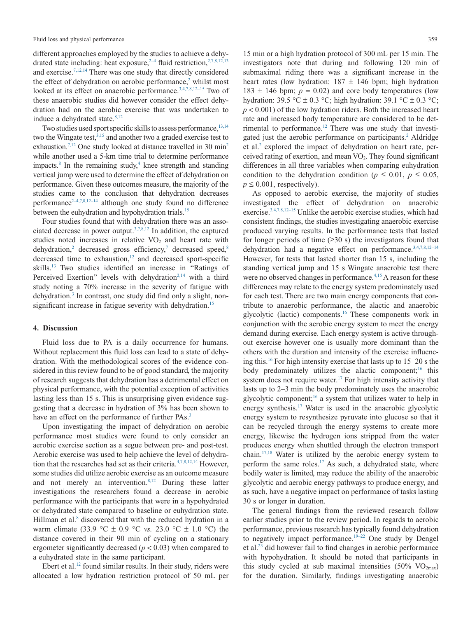different approaches employed by the studies to achieve a dehydrated state including: heat exposure,  $2-4$  fluid restriction,  $2,7,8,12,13$ and exercise[.7,12,14](#page-6-5) There was one study that directly considered the effect of dehydration on aerobic performance, $2$  whilst most looked at its effect on anaerobic performance.<sup>3,4,7,8,12–15</sup> Two of these anaerobic studies did however consider the effect dehydration had on the aerobic exercise that was undertaken to induce a dehydrated state.<sup>8,12</sup>

Two studies used sport specific skills to assess performance, 13,14 two the Wingate test,  $3,15$  and another two a graded exercise test to exhaustion.<sup>7,12</sup> One study looked at distance travelled in 30 min<sup>2</sup> while another used a 5-km time trial to determine performance impacts. $8 \text{ In the remaining study,} 4 \text{ knee strength and standing}$ vertical jump were used to determine the effect of dehydration on performance. Given these outcomes measure, the majority of the studies came to the conclusion that dehydration decreases performance<sup> $2-4,7,8,12-14$ </sup> although one study found no difference between the euhydration and hypohydration trials.<sup>15</sup>

Four studies found that with dehydration there was an associated decrease in power output[.3,7,8,12](#page-6-2) In addition, the captured studies noted increases in relative  $VO<sub>2</sub>$  and heart rate with dehydration,<sup>2</sup> decreased gross efficiency,<sup>7</sup> decreased speed,<sup>8</sup> decreased time to exhaustion, $12$  and decreased sport-specific skills[.13](#page-6-10) Two studies identified an increase in "Ratings of Perceived Exertion" levels with dehydration<sup>2,14</sup> with a third study noting a 70% increase in the severity of fatigue with dehydration[.3](#page-6-2) In contrast, one study did find only a slight, nonsignificant increase in fatigue severity with dehydration.<sup>15</sup>

# **4. Discussion**

Fluid loss due to PA is a daily occurrence for humans. Without replacement this fluid loss can lead to a state of dehydration. With the methodological scores of the evidence considered in this review found to be of good standard, the majority of research suggests that dehydration has a detrimental effect on physical performance, with the potential exception of activities lasting less than 15 s. This is unsurprising given evidence suggesting that a decrease in hydration of 3% has been shown to have an effect on the performance of further PAs.<sup>3</sup>

Upon investigating the impact of dehydration on aerobic performance most studies were found to only consider an aerobic exercise section as a segue between pre- and post-test. Aerobic exercise was used to help achieve the level of dehydration that the researches had set as their criteria[.4,7,8,12,14](#page-6-12) However, some studies did utilize aerobic exercise as an outcome measure and not merely an intervention. $8,12$  During these latter investigations the researchers found a decrease in aerobic performance with the participants that were in a hypohydrated or dehydrated state compared to baseline or euhydration state. Hillman et al.<sup>8</sup> discovered that with the reduced hydration in a warm climate (33.9  $\textdegree C \pm 0.9 \textdegree C$  *vs.* 23.0  $\textdegree C \pm 1.0 \textdegree C$ ) the distance covered in their 90 min of cycling on a stationary ergometer significantly decreased (*p* < 0.03) when compared to a euhydrated state in the same participant.

Ebert et al.<sup>12</sup> found similar results. In their study, riders were allocated a low hydration restriction protocol of 50 mL per

15 min or a high hydration protocol of 300 mL per 15 min. The investigators note that during and following 120 min of submaximal riding there was a significant increase in the heart rates (low hydration:  $187 \pm 146$  bpm; high hydration 183  $\pm$  146 bpm;  $p = 0.02$ ) and core body temperatures (low hydration: 39.5 °C  $\pm$  0.3 °C; high hydration: 39.1 °C  $\pm$  0.3 °C;  $p < 0.001$ ) of the low hydration riders. Both the increased heart rate and increased body temperature are considered to be detrimental to performance.<sup>12</sup> There was one study that investigated just the aerobic performance on participants.<sup>2</sup> Aldridge et al[.2](#page-6-1) explored the impact of dehydration on heart rate, perceived rating of exertion, and mean  $VO<sub>2</sub>$ . They found significant differences in all three variables when comparing euhydration condition to the dehydration condition ( $p \le 0.01$ ,  $p \le 0.05$ ,  $p \leq 0.001$ , respectively).

As opposed to aerobic exercise, the majority of studies investigated the effect of dehydration on anaerobic exercise.<sup>3,4,7,8,12–15</sup> Unlike the aerobic exercise studies, which had consistent findings, the studies investigating anaerobic exercise produced varying results. In the performance tests that lasted for longer periods of time  $(≥30 s)$  the investigators found that dehydration had a negative effect on performance.<sup>3,4,7,8,12-14</sup> However, for tests that lasted shorter than 15 s, including the standing vertical jump and 15 s Wingate anaerobic test there were no observed changes in performance.<sup>4,15</sup> A reason for these differences may relate to the energy system predominately used for each test. There are two main energy components that contribute to anaerobic performance, the alactic and anaerobic glycolytic (lactic) components[.16](#page-6-15) These components work in conjunction with the aerobic energy system to meet the energy demand during exercise. Each energy system is active throughout exercise however one is usually more dominant than the others with the duration and intensity of the exercise influencing this[.16](#page-6-15) For high intensity exercise that lasts up to 15–20 s the body predominately utilizes the alactic component;<sup>16</sup> this system does not require water.<sup>17</sup> For high intensity activity that lasts up to 2–3 min the body predominately uses the anaerobic glycolytic component;<sup>16</sup> a system that utilizes water to help in energy synthesis[.17](#page-6-16) Water is used in the anaerobic glycolytic energy system to resynthesize pyruvate into glucose so that it can be recycled through the energy systems to create more energy, likewise the hydrogen ions stripped from the water produces energy when shuttled through the electron transport chain[.17,18](#page-6-16) Water is utilized by the aerobic energy system to perform the same roles.<sup>17</sup> As such, a dehydrated state, where bodily water is limited, may reduce the ability of the anaerobic glycolytic and aerobic energy pathways to produce energy, and as such, have a negative impact on performance of tasks lasting 30 s or longer in duration.

The general findings from the reviewed research follow earlier studies prior to the review period. In regards to aerobic performance, previous research has typically found dehydration to negatively impact performance.<sup>19–22</sup> One study by Dengel et al[.23](#page-6-18) did however fail to find changes in aerobic performance with hypohydration. It should be noted that participants in this study cycled at sub maximal intensities  $(50\% \text{ VO}_{2\text{max}})$ for the duration. Similarly, findings investigating anaerobic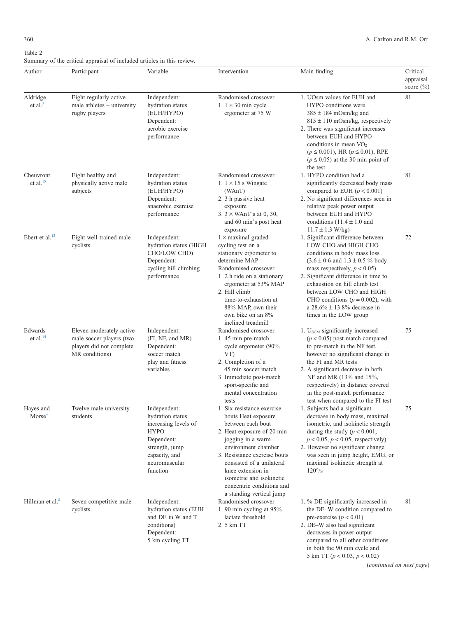<span id="page-4-0"></span>

| Author                            | Participant                                                                                        | Variable                                                                                                                                              | Intervention                                                                                                                                                                                                                                                                                                            | Main finding                                                                                                                                                                                                                                                                                                                                                                        | Critical<br>appraisal<br>score $(\% )$ |
|-----------------------------------|----------------------------------------------------------------------------------------------------|-------------------------------------------------------------------------------------------------------------------------------------------------------|-------------------------------------------------------------------------------------------------------------------------------------------------------------------------------------------------------------------------------------------------------------------------------------------------------------------------|-------------------------------------------------------------------------------------------------------------------------------------------------------------------------------------------------------------------------------------------------------------------------------------------------------------------------------------------------------------------------------------|----------------------------------------|
| Aldridge<br>$et$ al. <sup>2</sup> | Eight regularly active<br>male athletes $-$ university<br>rugby players                            | Independent:<br>hydration status<br>(EUH/HYPO)<br>Dependent:<br>aerobic exercise<br>performance                                                       | Randomised crossover<br>1. $1 \times 30$ min cycle<br>ergometer at 75 W                                                                                                                                                                                                                                                 | 1. UOsm values for EUH and<br>HYPO conditions were<br>$385 \pm 184$ mOsm/kg and<br>$815 \pm 110$ mOsm/kg, respectively<br>2. There was significant increases<br>between EUH and HYPO<br>conditions in mean $VO2$<br>$(p \le 0.001)$ , HR $(p \le 0.01)$ , RPE<br>$(p \le 0.05)$ at the 30 min point of<br>the test                                                                  | 81                                     |
| Cheuvront<br>et al. $15$          | Eight healthy and<br>physically active male<br>subjects                                            | Independent:<br>hydration status<br>(EUH/HYPO)<br>Dependent:<br>anaerobic exercise<br>performance                                                     | Randomised crossover<br>1. $1 \times 15$ s Wingate<br>(WAnT)<br>2. 3 h passive heat<br>exposure<br>$3.3 \times W \text{AnT's at } 0, 30,$<br>and 60 min's post heat<br>exposure                                                                                                                                         | 1. HYPO condition had a<br>significantly decreased body mass<br>compared to EUH $(p < 0.001)$<br>2. No significant differences seen in<br>relative peak power output<br>between EUH and HYPO<br>conditions $(11.4 \pm 1.0$ and<br>$11.7 \pm 1.3$ W/kg)                                                                                                                              | 81                                     |
| Ebert et al. $^{12}$              | Eight well-trained male<br>cyclists                                                                | Independent:<br>hydration status (HIGH<br>CHO/LOW CHO)<br>Dependent:<br>cycling hill climbing<br>performance                                          | $1 \times$ maximal graded<br>cycling test on a<br>stationary ergometer to<br>determine MAP<br>Randomised crossover<br>1. 2 h ride on a stationary<br>ergometer at 53% MAP<br>2. Hill climb<br>time-to-exhaustion at<br>88% MAP, own their<br>own bike on an 8%<br>inclined treadmill                                    | 1. Significant difference between<br>LOW CHO and HIGH CHO<br>conditions in body mass loss<br>$(3.6 \pm 0.6$ and $1.3 \pm 0.5$ % body<br>mass respectively, $p < 0.05$ )<br>2. Significant difference in time to<br>exhaustion on hill climb test<br>between LOW CHO and HIGH<br>CHO conditions ( $p = 0.002$ ), with<br>a $28.6\% \pm 13.8\%$ decrease in<br>times in the LOW group | 72                                     |
| Edwards<br>et al. $^{14}$         | Eleven moderately active<br>male soccer players (two<br>players did not complete<br>MR conditions) | Independent:<br>(FI, NF, and MR)<br>Dependent:<br>soccer match<br>play and fitness<br>variables                                                       | Randomised crossover<br>1.45 min pre-match<br>cycle ergometer (90%<br>VT)<br>2. Completion of a<br>45 min soccer match<br>3. Immediate post-match<br>sport-specific and<br>mental concentration<br>tests                                                                                                                | 1. $USGM$ significantly increased<br>$(p < 0.05)$ post-match compared<br>to pre-match in the NF test,<br>however no significant change in<br>the FI and MR tests<br>2. A significant decrease in both<br>NF and MR (13% and 15%,<br>respectively) in distance covered<br>in the post-match performance<br>test when compared to the FI test                                         | 75                                     |
| Haves and<br>Morse <sup>4</sup>   | Twelve male university<br>students                                                                 | Independent:<br>hydration status<br>increasing levels of<br><b>HYPO</b><br>Dependent:<br>strength, jump<br>capacity, and<br>neuromuscular<br>function | 1. Six resistance exercise<br>bouts Heat exposure<br>between each bout<br>2. Heat exposure of 20 min<br>jogging in a warm<br>environment chamber<br>3. Resistance exercise bouts<br>consisted of a unilateral<br>knee extension in<br>isometric and isokinetic<br>concentric conditions and<br>a standing vertical jump | 1. Subjects had a significant<br>decrease in body mass, maximal<br>isometric, and isokinetic strength<br>during the study ( $p < 0.001$ ,<br>$p < 0.05$ , $p < 0.05$ , respectively)<br>2. However no significant change<br>was seen in jump height, EMG, or<br>maximal isokinetic strength at<br>$120^{\circ}/s$                                                                   | 75                                     |
| Hillman et al. <sup>8</sup>       | Seven competitive male<br>cyclists                                                                 | Independent:<br>hydration status (EUH<br>and DE in W and T<br>conditions)<br>Dependent:<br>5 km cycling TT                                            | Randomised crossover<br>1. 90 min cycling at 95%<br>lactate threshold<br>2. 5 km TT                                                                                                                                                                                                                                     | 1. % DE significantly increased in<br>the DE-W condition compared to<br>pre-exercise ( $p < 0.01$ )<br>2. DE-W also had significant<br>decreases in power output<br>compared to all other conditions<br>in both the 90 min cycle and                                                                                                                                                | 81                                     |

(*continued on next page*)

5 km TT (*p* < 0.03, *p* < 0.02)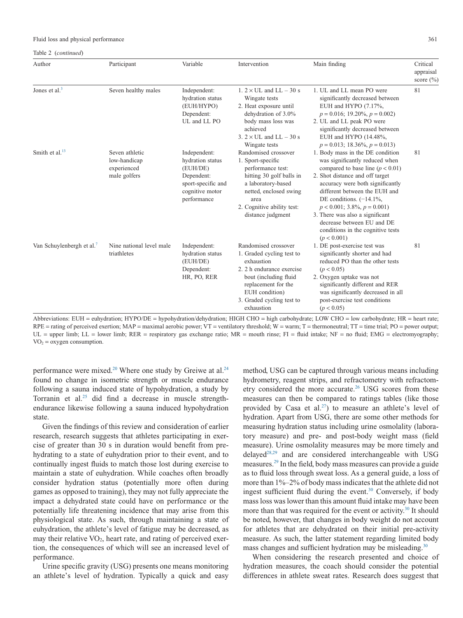#### Fluid loss and physical performance 361

Table 2 (*continued*)

| Author                                | Participant                                                   | Variable                                                                                                           | Intervention                                                                                                                                                                                              | Main finding                                                                                                                                                                                                                                                                                                                                                                                               | Critical<br>appraisal<br>score $(\% )$ |
|---------------------------------------|---------------------------------------------------------------|--------------------------------------------------------------------------------------------------------------------|-----------------------------------------------------------------------------------------------------------------------------------------------------------------------------------------------------------|------------------------------------------------------------------------------------------------------------------------------------------------------------------------------------------------------------------------------------------------------------------------------------------------------------------------------------------------------------------------------------------------------------|----------------------------------------|
| Jones et al. <sup>3</sup>             | Seven healthy males                                           | Independent:<br>hydration status<br>(EUH/HYPO)<br>Dependent:<br>UL and LL PO                                       | 1. $2 \times$ UL and LL $-$ 30 s<br>Wingate tests<br>2. Heat exposure until<br>dehydration of 3.0%<br>body mass loss was<br>achieved<br>3. $2 \times$ UL and LL $-$ 30 s<br>Wingate tests                 | 1. UL and LL mean PO were<br>significantly decreased between<br>EUH and HYPO (7.17%,<br>$p = 0.016$ ; 19.20%, $p = 0.002$ )<br>2. UL and LL peak PO were<br>significantly decreased between<br>EUH and HYPO (14.48%,<br>$p = 0.013$ ; 18.36%, $p = 0.013$ )                                                                                                                                                | 81                                     |
| Smith et al. $^{13}$                  | Seven athletic<br>low-handicap<br>experienced<br>male golfers | Independent:<br>hydration status<br>(EUH/DE)<br>Dependent:<br>sport-specific and<br>cognitive motor<br>performance | Randomised crossover<br>1. Sport-specific<br>performance test:<br>hitting 30 golf balls in<br>a laboratory-based<br>netted, enclosed swing<br>area<br>2. Cognitive ability test:<br>distance judgment     | 1. Body mass in the DE condition<br>was significantly reduced when<br>compared to base line ( $p < 0.01$ )<br>2. Shot distance and off target<br>accuracy were both significantly<br>different between the EUH and<br>DE conditions. $(-14.1\%,$<br>$p < 0.001$ ; 3.8%, $p = 0.001$ )<br>3. There was also a significant<br>decrease between EU and DE<br>conditions in the cognitive tests<br>(p < 0.001) | 81                                     |
| Van Schuylenbergh et al. <sup>7</sup> | Nine national level male<br>triathletes                       | Independent:<br>hydration status<br>(EUH/DE)<br>Dependent:<br>HR, PO, RER                                          | Randomised crossover<br>1. Graded cycling test to<br>exhaustion<br>2. 2 h endurance exercise<br>bout (including fluid<br>replacement for the<br>EUH condition)<br>3. Graded cycling test to<br>exhaustion | 1. DE post-exercise test was<br>significantly shorter and had<br>reduced PO than the other tests<br>(p < 0.05)<br>2. Oxygen uptake was not<br>significantly different and RER<br>was significantly decreased in all<br>post-exercise test conditions<br>(p < 0.05)                                                                                                                                         | 81                                     |

Abbreviations: EUH = euhydration; HYPO/DE = hypohydration/dehydration; HIGH CHO = high carbohydrate; LOW CHO = low carbohydrate; HR = heart rate;  $RPE =$  rating of perceived exertion; MAP = maximal aerobic power; VT = ventilatory threshold; W = warm; T = thermoneutral; TT = time trial; PO = power output;  $UL =$  upper limb;  $LL =$  lower limb;  $RER =$  respiratory gas exchange ratio;  $MR =$  mouth rinse;  $FI =$  fluid intake;  $NF =$  no fluid;  $EMG =$  electromyography;  $VO<sub>2</sub> = oxygen consumption.$ 

performance were mixed.<sup>20</sup> Where one study by Greiwe at al.<sup>24</sup> found no change in isometric strength or muscle endurance following a sauna induced state of hypohydration, a study by Torranin et al[.25](#page-6-21) did find a decrease in muscle strengthendurance likewise following a sauna induced hypohydration state.

Given the findings of this review and consideration of earlier research, research suggests that athletes participating in exercise of greater than 30 s in duration would benefit from prehydrating to a state of euhydration prior to their event, and to continually ingest fluids to match those lost during exercise to maintain a state of euhydration. While coaches often broadly consider hydration status (potentially more often during games as opposed to training), they may not fully appreciate the impact a dehydrated state could have on performance or the potentially life threatening incidence that may arise from this physiological state. As such, through maintaining a state of euhydration, the athlete's level of fatigue may be decreased, as may their relative VO<sub>2</sub>, heart rate, and rating of perceived exertion, the consequences of which will see an increased level of performance.

Urine specific gravity (USG) presents one means monitoring an athlete's level of hydration. Typically a quick and easy

method, USG can be captured through various means including hydrometry, reagent strips, and refractometry with refractometry considered the more accurate.<sup>26</sup> USG scores from these measures can then be compared to ratings tables (like those provided by Casa et al.<sup>27</sup>) to measure an athlete's level of hydration. Apart from USG, there are some other methods for measuring hydration status including urine osmolality (laboratory measure) and pre- and post-body weight mass (field measure). Urine osmolality measures may be more timely and delayed<sup>28,29</sup> and are considered interchangeable with USG measures[.29](#page-7-1) In the field, body mass measures can provide a guide as to fluid loss through sweat loss. As a general guide, a loss of more than 1%–2% of body mass indicates that the athlete did not ingest sufficient fluid during the event.<sup>30</sup> Conversely, if body mass loss was lower than this amount fluid intake may have been more than that was required for the event or activity.<sup>30</sup> It should be noted, however, that changes in body weight do not account for athletes that are dehydrated on their initial pre-activity measure. As such, the latter statement regarding limited body mass changes and sufficient hydration may be misleading.<sup>30</sup>

When considering the research presented and choice of hydration measures, the coach should consider the potential differences in athlete sweat rates. Research does suggest that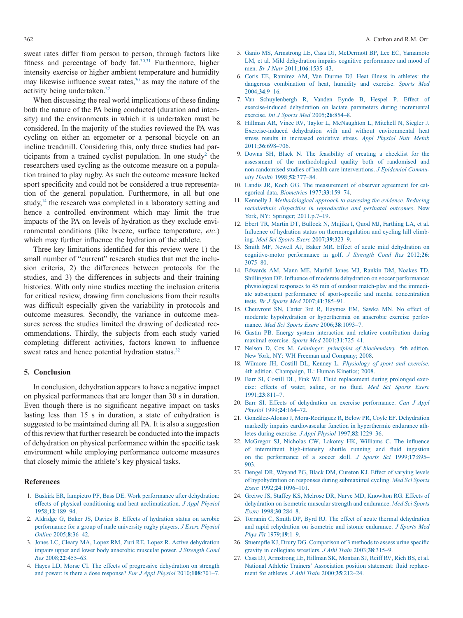sweat rates differ from person to person, through factors like fitness and percentage of body fat[.30,31](#page-7-2) Furthermore, higher intensity exercise or higher ambient temperature and humidity may likewise influence sweat rates, $30$  as may the nature of the activity being undertaken[.32](#page-7-3)

When discussing the real world implications of these finding both the nature of the PA being conducted (duration and intensity) and the environments in which it is undertaken must be considered. In the majority of the studies reviewed the PA was cycling on either an ergometer or a personal bicycle on an incline treadmill. Considering this, only three studies had participants from a trained cyclist population. In one study<sup>2</sup> the researchers used cycling as the outcome measure on a population trained to play rugby. As such the outcome measure lacked sport specificity and could not be considered a true representation of the general population. Furthermore, in all but one study,<sup>14</sup> the research was completed in a laboratory setting and hence a controlled environment which may limit the true impacts of the PA on levels of hydration as they exclude environmental conditions (like breeze, surface temperature, *etc*.) which may further influence the hydration of the athlete.

Three key limitations identified for this review were 1) the small number of "current" research studies that met the inclusion criteria, 2) the differences between protocols for the studies, and 3) the differences in subjects and their training histories. With only nine studies meeting the inclusion criteria for critical review, drawing firm conclusions from their results was difficult especially given the variability in protocols and outcome measures. Secondly, the variance in outcome measures across the studies limited the drawing of dedicated recommendations. Thirdly, the subjects from each study varied completing different activities, factors known to influence sweat rates and hence potential hydration status.<sup>32</sup>

## **5. Conclusion**

In conclusion, dehydration appears to have a negative impact on physical performances that are longer than 30 s in duration. Even though there is no significant negative impact on tasks lasting less than 15 s in duration, a state of euhydration is suggested to be maintained during all PA. It is also a suggestion of this review that further research be conducted into the impacts of dehydration on physical performance within the specific task environment while employing performance outcome measures that closely mimic the athlete's key physical tasks.

# **References**

- <span id="page-6-0"></span>1. [Buskirk ER, Iampietro PF, Bass DE. Work performance after dehydration:](http://refhub.elsevier.com/S2095-2546(15)00004-6/sr0010) [effects of physical conditioning and heat acclimatization.](http://refhub.elsevier.com/S2095-2546(15)00004-6/sr0010) *J Appl Physiol* 1958;**12**[:189–94.](http://refhub.elsevier.com/S2095-2546(15)00004-6/sr0010)
- <span id="page-6-1"></span>2. [Aldridge G, Baker JS, Davies B. Effects of hydration status on aerobic](http://refhub.elsevier.com/S2095-2546(15)00004-6/sr0015) [performance for a group of male university rugby players.](http://refhub.elsevier.com/S2095-2546(15)00004-6/sr0015) *J Exerc Physiol Online* 2005;**8**[:36–42.](http://refhub.elsevier.com/S2095-2546(15)00004-6/sr0015)
- <span id="page-6-2"></span>3. [Jones LC, Cleary MA, Lopez RM, Zuri RE, Lopez R. Active dehydration](http://refhub.elsevier.com/S2095-2546(15)00004-6/sr0020) [impairs upper and lower body anaerobic muscular power.](http://refhub.elsevier.com/S2095-2546(15)00004-6/sr0020) *J Strength Cond Res* 2008;**22**[:455–63.](http://refhub.elsevier.com/S2095-2546(15)00004-6/sr0020)
- <span id="page-6-12"></span>4. [Hayes LD, Morse CI. The effects of progressive dehydration on strength](http://refhub.elsevier.com/S2095-2546(15)00004-6/sr0025) [and power: is there a dose response?](http://refhub.elsevier.com/S2095-2546(15)00004-6/sr0025) *Eur J Appl Physiol* 2010;**108**:701–7.
- <span id="page-6-3"></span>5. [Ganio MS, Armstrong LE, Casa DJ, McDermott BP, Lee EC, Yamamoto](http://refhub.elsevier.com/S2095-2546(15)00004-6/sr0030) [LM, et al. Mild dehydration impairs cognitive performance and mood of](http://refhub.elsevier.com/S2095-2546(15)00004-6/sr0030) men. *[Br J Nutr](http://refhub.elsevier.com/S2095-2546(15)00004-6/sr0030)* 2011;**106**:1535–43.
- <span id="page-6-4"></span>6. [Coris EE, Ramirez AM, Van Durme DJ. Heat illness in athletes: the](http://refhub.elsevier.com/S2095-2546(15)00004-6/sr0035) [dangerous combination of heat, humidity and exercise.](http://refhub.elsevier.com/S2095-2546(15)00004-6/sr0035) *Sports Med* 2004;**34**[:9–16.](http://refhub.elsevier.com/S2095-2546(15)00004-6/sr0035)
- <span id="page-6-5"></span>7. [Van Schuylenbergh R, Vanden Eynde B, Hespel P. Effect of](http://refhub.elsevier.com/S2095-2546(15)00004-6/sr0040) [exercise-induced dehydration on lactate parameters during incremental](http://refhub.elsevier.com/S2095-2546(15)00004-6/sr0040) exercise. *[Int J Sports Med](http://refhub.elsevier.com/S2095-2546(15)00004-6/sr0040)* 2005;**26**:854–8.
- <span id="page-6-6"></span>8. [Hillman AR, Vince RV, Taylor L, McNaughton L, Mitchell N, Siegler J.](http://refhub.elsevier.com/S2095-2546(15)00004-6/sr0045) [Exercise-induced dehydration with and without environmental heat](http://refhub.elsevier.com/S2095-2546(15)00004-6/sr0045) [stress results in increased oxidative stress.](http://refhub.elsevier.com/S2095-2546(15)00004-6/sr0045) *Appl Physiol Nutr Metab* 2011;**36**[:698–706.](http://refhub.elsevier.com/S2095-2546(15)00004-6/sr0045)
- <span id="page-6-7"></span>9. [Downs SH, Black N. The feasibility of creating a checklist for the](http://refhub.elsevier.com/S2095-2546(15)00004-6/sr0050) [assessment of the methodological quality both of randomised and](http://refhub.elsevier.com/S2095-2546(15)00004-6/sr0050) [non-randomised studies of health care interventions.](http://refhub.elsevier.com/S2095-2546(15)00004-6/sr0050) *J Epidemiol Commu[nity Health](http://refhub.elsevier.com/S2095-2546(15)00004-6/sr0050)* 1998;**52**:377–84.
- <span id="page-6-8"></span>10. [Landis JR, Koch GG. The measurement of observer agreement for cat](http://refhub.elsevier.com/S2095-2546(15)00004-6/sr0055)[egorical data.](http://refhub.elsevier.com/S2095-2546(15)00004-6/sr0055) *Biometrics* 1977;**33**:159–74.
- <span id="page-6-9"></span>11. Kennelly J. *[Methodological approach to assessing the evidence. Reducing](http://refhub.elsevier.com/S2095-2546(15)00004-6/sr0060) [racial/ethnic disparities in reproductive and perinatal outcomes](http://refhub.elsevier.com/S2095-2546(15)00004-6/sr0060)*. New [York, NY: Springer; 2011.p.7–19.](http://refhub.elsevier.com/S2095-2546(15)00004-6/sr0060)
- <span id="page-6-14"></span>12. [Ebert TR, Martin DT, Bullock N, Mujika I, Quod MJ, Farthing LA, et al.](http://refhub.elsevier.com/S2095-2546(15)00004-6/sr0065) [Influence of hydration status on thermoregulation and cycling hill climb](http://refhub.elsevier.com/S2095-2546(15)00004-6/sr0065)ing. *[Med Sci Sports Exerc](http://refhub.elsevier.com/S2095-2546(15)00004-6/sr0065)* 2007;**39**:323–9.
- <span id="page-6-10"></span>13. [Smith MF, Newell AJ, Baker MR. Effect of acute mild dehydration on](http://refhub.elsevier.com/S2095-2546(15)00004-6/sr0070) [cognitive-motor performance in golf.](http://refhub.elsevier.com/S2095-2546(15)00004-6/sr0070) *J Strength Cond Res* 2012;**26**: [3075–80.](http://refhub.elsevier.com/S2095-2546(15)00004-6/sr0070)
- <span id="page-6-11"></span>14. [Edwards AM, Mann ME, Marfell-Jones MJ, Rankin DM, Noakes TD,](http://refhub.elsevier.com/S2095-2546(15)00004-6/sr0075) [Shillington DP. Influence of moderate dehydration on soccer performance:](http://refhub.elsevier.com/S2095-2546(15)00004-6/sr0075) [physiological responses to 45 min of outdoor match-play and the immedi](http://refhub.elsevier.com/S2095-2546(15)00004-6/sr0075)[ate subsequent performance of sport-specific and mental concentration](http://refhub.elsevier.com/S2095-2546(15)00004-6/sr0075) tests. *[Br J Sports Med](http://refhub.elsevier.com/S2095-2546(15)00004-6/sr0075)* 2007;**41**:385–91.
- <span id="page-6-13"></span>15. [Cheuvront SN, Carter 3rd R, Haymes EM, Sawka MN. No effect of](http://refhub.elsevier.com/S2095-2546(15)00004-6/sr0080) [moderate hypohydration or hyperthermia on anaerobic exercise perfor](http://refhub.elsevier.com/S2095-2546(15)00004-6/sr0080)mance. *[Med Sci Sports Exerc](http://refhub.elsevier.com/S2095-2546(15)00004-6/sr0080)* 2006;**38**:1093–7.
- <span id="page-6-15"></span>16. [Gastin PB. Energy system interaction and relative contribution during](http://refhub.elsevier.com/S2095-2546(15)00004-6/sr0085) [maximal exercise.](http://refhub.elsevier.com/S2095-2546(15)00004-6/sr0085) *Sports Med* 2001;**31**:725–41.
- <span id="page-6-16"></span>17. Nelson D, Cox M. *[Lehninger: principles of biochemistry](http://refhub.elsevier.com/S2095-2546(15)00004-6/sr0090)*. 5th edition. [New York, NY: WH Freeman and Company; 2008.](http://refhub.elsevier.com/S2095-2546(15)00004-6/sr0090)
- 18. [Wilmore JH, Costill DL, Kenney L.](http://refhub.elsevier.com/S2095-2546(15)00004-6/sr0095) *Physiology of sport and exercise*. [4th edition. Champaign, IL: Human Kinetics; 2008.](http://refhub.elsevier.com/S2095-2546(15)00004-6/sr0095)
- <span id="page-6-17"></span>19. [Barr SI, Costill DL, Fink WJ. Fluid replacement during prolonged exer](http://refhub.elsevier.com/S2095-2546(15)00004-6/sr0100)[cise: effects of water, saline, or no fluid.](http://refhub.elsevier.com/S2095-2546(15)00004-6/sr0100) *Med Sci Sports Exerc* 1991;**23**[:811–7.](http://refhub.elsevier.com/S2095-2546(15)00004-6/sr0100)
- <span id="page-6-19"></span>20. [Barr SI. Effects of dehydration on exercise performance.](http://refhub.elsevier.com/S2095-2546(15)00004-6/sr0105) *Can J Appl Physiol* 1999;**24**[:164–72.](http://refhub.elsevier.com/S2095-2546(15)00004-6/sr0105)
- 21. [González-Alonso J, Mora-Rodríguez R, Below PR, Coyle EF. Dehydration](http://refhub.elsevier.com/S2095-2546(15)00004-6/sr0110) [markedly impairs cardiovascular function in hyperthermic endurance ath](http://refhub.elsevier.com/S2095-2546(15)00004-6/sr0110)[letes during exercise.](http://refhub.elsevier.com/S2095-2546(15)00004-6/sr0110) *J Appl Physiol* 1997;**82**:1229–36.
- 22. [McGregor SJ, Nicholas CW, Lakomy HK, Williams C. The influence](http://refhub.elsevier.com/S2095-2546(15)00004-6/sr0115) [of intermittent high-intensity shuttle running and fluid ingestion](http://refhub.elsevier.com/S2095-2546(15)00004-6/sr0115) [on the performance of a soccer skill.](http://refhub.elsevier.com/S2095-2546(15)00004-6/sr0115) *J Sports Sci* 1999;**17**:895– [903.](http://refhub.elsevier.com/S2095-2546(15)00004-6/sr0115)
- <span id="page-6-18"></span>23. [Dengel DR, Weyand PG, Black DM, Cureton KJ. Effect of varying levels](http://refhub.elsevier.com/S2095-2546(15)00004-6/sr0120) [of hypohydration on responses during submaximal cycling.](http://refhub.elsevier.com/S2095-2546(15)00004-6/sr0120) *Med Sci Sports Exerc* 1992;**24**[:1096–101.](http://refhub.elsevier.com/S2095-2546(15)00004-6/sr0120)
- <span id="page-6-20"></span>24. [Greiwe JS, Staffey KS, Melrose DR, Narve MD, Knowlton RG. Effects of](http://refhub.elsevier.com/S2095-2546(15)00004-6/sr0125) [dehydration on isometric muscular strength and endurance.](http://refhub.elsevier.com/S2095-2546(15)00004-6/sr0125) *Med Sci Sports Exerc* 1998;**30**[:284–8.](http://refhub.elsevier.com/S2095-2546(15)00004-6/sr0125)
- <span id="page-6-21"></span>25. [Torranin C, Smith DP, Byrd RJ. The effect of acute thermal dehydration](http://refhub.elsevier.com/S2095-2546(15)00004-6/sr0130) [and rapid rehydration on isometric and istonic endurance.](http://refhub.elsevier.com/S2095-2546(15)00004-6/sr0130) *J Sports Med [Phys Fit](http://refhub.elsevier.com/S2095-2546(15)00004-6/sr0130)* 1979;**19**:1–9.
- <span id="page-6-22"></span>26. [Stuempfle KJ, Drury DG. Comparison of 3 methods to assess urine specific](http://refhub.elsevier.com/S2095-2546(15)00004-6/sr0135) [gravity in collegiate wrestlers.](http://refhub.elsevier.com/S2095-2546(15)00004-6/sr0135) *J Athl Train* 2003;**38**:315–9.
- <span id="page-6-23"></span>27. [Casa DJ, Armstrong LE, Hillman SK, Montain SJ, Reiff RV, Rich BS, et al.](http://refhub.elsevier.com/S2095-2546(15)00004-6/sr0140) [National Athletic Trainers' Association position statement: fluid replace](http://refhub.elsevier.com/S2095-2546(15)00004-6/sr0140)[ment for athletes.](http://refhub.elsevier.com/S2095-2546(15)00004-6/sr0140) *J Athl Train* 2000;**35**:212–24.